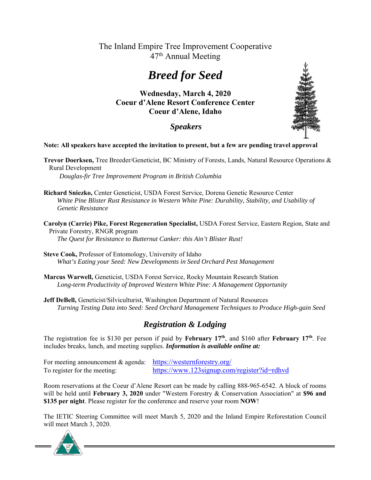## The Inland Empire Tree Improvement Cooperative 47<sup>th</sup> Annual Meeting

# *Breed for Seed*

**Wednesday, March 4, 2020 Coeur d'Alene Resort Conference Center Coeur d'Alene, Idaho**

### *Speakers*

#### **Note: All speakers have accepted the invitation to present, but a few are pending travel approval**

**Trevor Doerksen,** Tree Breeder/Geneticist, BC Ministry of Forests, Lands, Natural Resource Operations & Rural Development

*Douglas-fir Tree Improvement Program in British Columbia* 

- **Richard Sniezko,** Center Geneticist, USDA Forest Service, Dorena Genetic Resource Center *White Pine Blister Rust Resistance in Western White Pine: Durability, Stability, and Usability of Genetic Resistance*
- **Carolyn (Carrie) Pike, Forest Regeneration Specialist,** USDA Forest Service, Eastern Region, State and Private Forestry, RNGR program *The Quest for Resistance to Butternut Canker: this Ain't Blister Rust!*
- **Steve Cook,** Professor of Entomology, University of Idaho  *What's Eating your Seed: New Developments in Seed Orchard Pest Management*
- **Marcus Warwell,** Geneticist, USDA Forest Service, Rocky Mountain Research Station *Long-term Productivity of Improved Western White Pine: A Management Opportunity*
- **Jeff DeBell,** Geneticist/Silviculturist, Washington Department of Natural Resources *Turning Testing Data into Seed: Seed Orchard Management Techniques to Produce High-gain Seed*

### *Registration & Lodging*

The registration fee is \$130 per person if paid by **February 17th**, and \$160 after **February 17th**. Fee includes breaks, lunch, and meeting supplies. *Information is available online at:*

For meeting announcement & agenda: https://westernforestry.org/ To register for the meeting: https://www.123signup.com/register?id=rdhvd

Room reservations at the Coeur d'Alene Resort can be made by calling 888-965-6542. A block of rooms will be held until **February 3, 2020** under "Western Forestry & Conservation Association" at **\$96 and \$135 per night**. Please register for the conference and reserve your room **NOW**!

The IETIC Steering Committee will meet March 5, 2020 and the Inland Empire Reforestation Council will meet March 3, 2020.